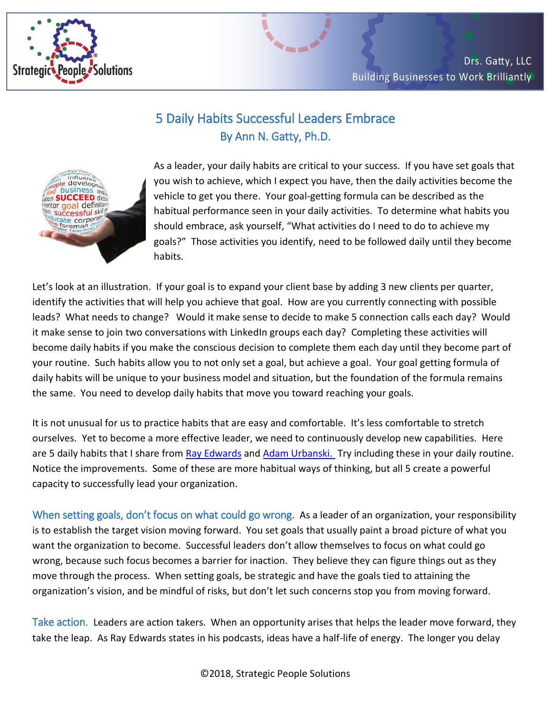

## 5 Daily Habits Successful Leaders Embrace By Ann N. Gatty, Ph.D.



As a leader, your daily habits are critical to your success. If you have set goals that you wish to achieve, which I expect you have, then the daily activities become the vehicle to get you there. Your goal-getting formula can be described as the habitual performance seen in your daily activities. To determine what habits you should embrace, ask yourself, "What activities do I need to do to achieve my goals?" Those activities you identify, need to be followed daily until they become habits.

Let's look at an illustration. If your goal is to expand your client base by adding 3 new clients per quarter, identify the activities that will help you achieve that goal. How are you currently connecting with possible leads? What needs to change? Would it make sense to decide to make 5 connection calls each day? Would it make sense to join two conversations with LinkedIn groups each day? Completing these activities will become daily habits if you make the conscious decision to complete them each day until they become part of your routine. Such habits allow you to not only set a goal, but achieve a goal. Your goal getting formula of daily habits will be unique to your business model and situation, but the foundation of the formula remains the same. You need to develop daily habits that move you toward reaching your goals.

It is not unusual for us to practice habits that are easy and comfortable. It's less comfortable to stretch ourselves. Yet to become a more effective leader, we need to continuously develop new capabilities. Here are 5 daily habits that I share from [Ray Edwards](http://rayedwards.com/) and [Adam Urbanski.](http://themarketingmentors.com/) Try including these in your daily routine. Notice the improvements. Some of these are more habitual ways of thinking, but all 5 create a powerful capacity to successfully lead your organization.

When setting goals, don't focus on what could go wrong. As a leader of an organization, your responsibility is to establish the target vision moving forward. You set goals that usually paint a broad picture of what you want the organization to become. Successful leaders don't allow themselves to focus on what could go wrong, because such focus becomes a barrier for inaction. They believe they can figure things out as they move through the process. When setting goals, be strategic and have the goals tied to attaining the organization's vision, and be mindful of risks, but don't let such concerns stop you from moving forward.

Take action. Leaders are action takers. When an opportunity arises that helps the leader move forward, they take the leap. As Ray Edwards states in his podcasts, ideas have a half-life of energy. The longer you delay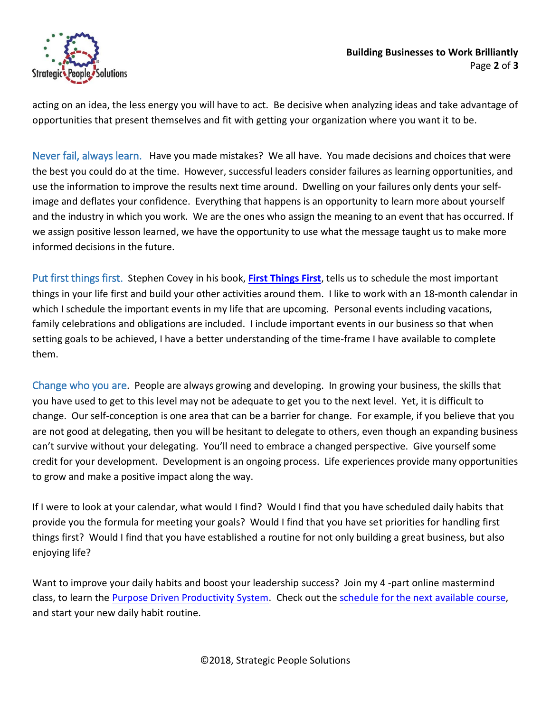

acting on an idea, the less energy you will have to act. Be decisive when analyzing ideas and take advantage of opportunities that present themselves and fit with getting your organization where you want it to be.

Never fail, always learn. Have you made mistakes? We all have. You made decisions and choices that were the best you could do at the time. However, successful leaders consider failures as learning opportunities, and use the information to improve the results next time around. Dwelling on your failures only dents your selfimage and deflates your confidence. Everything that happens is an opportunity to learn more about yourself and the industry in which you work. We are the ones who assign the meaning to an event that has occurred. If we assign positive lesson learned, we have the opportunity to use what the message taught us to make more informed decisions in the future.

Put first things first. Stephen Covey in his book, **[First Things First](https://www.amazon.com/dp/B00V1XGKJK/ref=dp-kindle-redirect?_encoding=UTF8&btkr=1)**, tells us to schedule the most important things in your life first and build your other activities around them. I like to work with an 18-month calendar in which I schedule the important events in my life that are upcoming. Personal events including vacations, family celebrations and obligations are included. I include important events in our business so that when setting goals to be achieved, I have a better understanding of the time-frame I have available to complete them.

Change who you are. People are always growing and developing. In growing your business, the skills that you have used to get to this level may not be adequate to get you to the next level. Yet, it is difficult to change. Our self-conception is one area that can be a barrier for change. For example, if you believe that you are not good at delegating, then you will be hesitant to delegate to others, even though an expanding business can't survive without your delegating. You'll need to embrace a changed perspective. Give yourself some credit for your development. Development is an ongoing process. Life experiences provide many opportunities to grow and make a positive impact along the way.

If I were to look at your calendar, what would I find? Would I find that you have scheduled daily habits that provide you the formula for meeting your goals? Would I find that you have set priorities for handling first things first? Would I find that you have established a routine for not only building a great business, but also enjoying life?

Want to improve your daily habits and boost your leadership success? Join my 4-part online mastermind class, to learn the [Purpose Driven Productivity System.](http://www.strategicpeoplesolutions.com/wp-content/uploads/2018/01/email-flyer.pdf) Check out the [schedule for the next available course,](http://www.strategicpeoplesolutions.com/accelerated-purpose-driven-productivity-course/) and start your new daily habit routine.